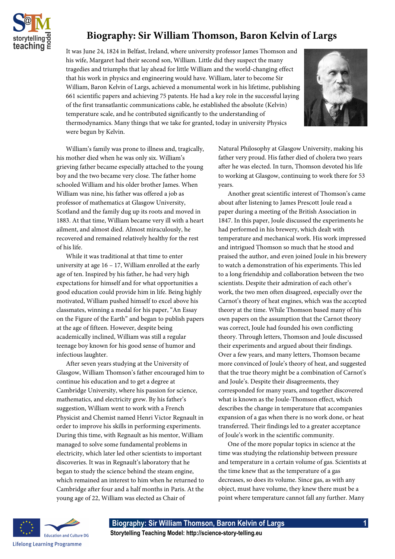

## **Biography: Sir William Thomson, Baron Kelvin of Largs**

It was June 24, 1824 in Belfast, Ireland, where university professor James Thomson and his wife, Margaret had their second son, William. Little did they suspect the many tragedies and triumphs that lay ahead for little William and the world-changing effect that his work in physics and engineering would have. William, later to become Sir William, Baron Kelvin of Largs, achieved a monumental work in his lifetime, publishing 661 scientific papers and achieving 75 patents. He had a key role in the successful laying of the first transatlantic communications cable, he established the absolute (Kelvin) temperature scale, and he contributed significantly to the understanding of thermodynamics. Many things that we take for granted, today in university Physics were begun by Kelvin.



William's family was prone to illness and, tragically, his mother died when he was only six. William's grieving father became especially attached to the young boy and the two became very close. The father home schooled William and his older brother James. When William was nine, his father was offered a job as professor of mathematics at Glasgow University, Scotland and the family dug up its roots and moved in 1883. At that time, William became very ill with a heart ailment, and almost died. Almost miraculously, he recovered and remained relatively healthy for the rest of his life.

While it was traditional at that time to enter university at age 16 – 17, William enrolled at the early age of ten. Inspired by his father, he had very high expectations for himself and for what opportunities a good education could provide him in life. Being highly motivated, William pushed himself to excel above his classmates, winning a medal for his paper, "An Essay on the Figure of the Earth" and began to publish papers at the age of fifteen. However, despite being academically inclined, William was still a regular teenage boy known for his good sense of humor and infectious laughter.

After seven years studying at the University of Glasgow, William Thomson's father encouraged him to continue his education and to get a degree at Cambridge University, where his passion for science, mathematics, and electricity grew. By his father's suggestion, William went to work with a French Physicist and Chemist named Henri Victor Regnault in order to improve his skills in performing experiments. During this time, with Regnault as his mentor, William managed to solve some fundamental problems in electricity, which later led other scientists to important discoveries. It was in Regnault's laboratory that he began to study the science behind the steam engine, which remained an interest to him when he returned to Cambridge after four and a half months in Paris. At the young age of 22, William was elected as Chair of

Natural Philosophy at Glasgow University, making his father very proud. His father died of cholera two years after he was elected. In turn, Thomson devoted his life to working at Glasgow, continuing to work there for 53 years.

Another great scientific interest of Thomson's came about after listening to James Prescott Joule read a paper during a meeting of the British Association in 1847. In this paper, Joule discussed the experiments he had performed in his brewery, which dealt with temperature and mechanical work. His work impressed and intrigued Thomson so much that he stood and praised the author, and even joined Joule in his brewery to watch a demonstration of his experiments. This led to a long friendship and collaboration between the two scientists. Despite their admiration of each other's work, the two men often disagreed, especially over the Carnot's theory of heat engines, which was the accepted theory at the time. While Thomson based many of his own papers on the assumption that the Carnot theory was correct, Joule had founded his own conflicting theory. Through letters, Thomson and Joule discussed their experiments and argued about their findings. Over a few years, and many letters, Thomson became more convinced of Joule's theory of heat, and suggested that the true theory might be a combination of Carnot's and Joule's. Despite their disagreements, they corresponded for many years, and together discovered what is known as the Joule-Thomson effect, which describes the change in temperature that accompanies expansion of a gas when there is no work done, or heat transferred. Their findings led to a greater acceptance of Joule's work in the scientific community.

One of the more popular topics in science at the time was studying the relationship between pressure and temperature in a certain volume of gas. Scientists at the time knew that as the temperature of a gas decreases, so does its volume. Since gas, as with any object, must have volume, they knew there must be a point where temperature cannot fall any further. Many